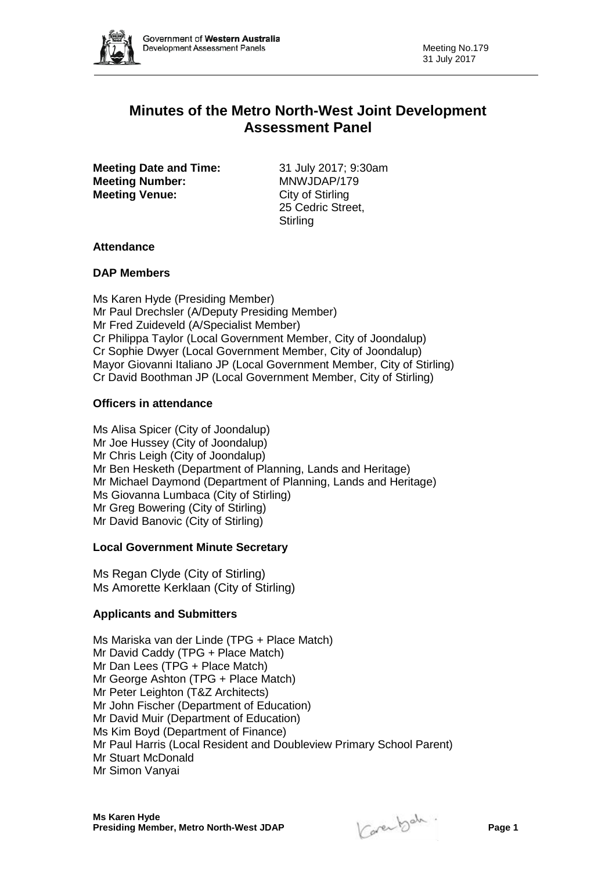

# **Minutes of the Metro North-West Joint Development Assessment Panel**

**Meeting Date and Time:** 31 July 2017; 9:30am<br> **Meeting Number:** MNWJDAP/179 **Meeting Number: Meeting Venue:** City of Stirling

25 Cedric Street, **Stirling** 

## **Attendance**

## **DAP Members**

Ms Karen Hyde (Presiding Member) Mr Paul Drechsler (A/Deputy Presiding Member) Mr Fred Zuideveld (A/Specialist Member) Cr Philippa Taylor (Local Government Member, City of Joondalup) Cr Sophie Dwyer (Local Government Member, City of Joondalup) Mayor Giovanni Italiano JP (Local Government Member, City of Stirling) Cr David Boothman JP (Local Government Member, City of Stirling)

## **Officers in attendance**

Ms Alisa Spicer (City of Joondalup) Mr Joe Hussey (City of Joondalup) Mr Chris Leigh (City of Joondalup) Mr Ben Hesketh (Department of Planning, Lands and Heritage) Mr Michael Daymond (Department of Planning, Lands and Heritage) Ms Giovanna Lumbaca (City of Stirling) Mr Greg Bowering (City of Stirling) Mr David Banovic (City of Stirling)

## **Local Government Minute Secretary**

Ms Regan Clyde (City of Stirling) Ms Amorette Kerklaan (City of Stirling)

## **Applicants and Submitters**

Ms Mariska van der Linde (TPG + Place Match) Mr David Caddy (TPG + Place Match) Mr Dan Lees (TPG + Place Match) Mr George Ashton (TPG + Place Match) Mr Peter Leighton (T&Z Architects) Mr John Fischer (Department of Education) Mr David Muir (Department of Education) Ms Kim Boyd (Department of Finance) Mr Paul Harris (Local Resident and Doubleview Primary School Parent) Mr Stuart McDonald Mr Simon Vanyai

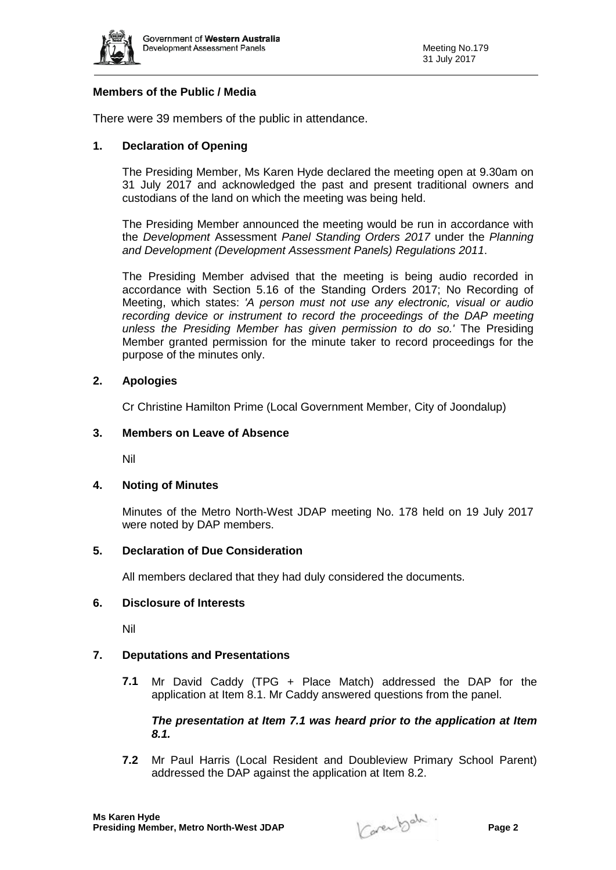

## **Members of the Public / Media**

There were 39 members of the public in attendance.

## **1. Declaration of Opening**

The Presiding Member, Ms Karen Hyde declared the meeting open at 9.30am on 31 July 2017 and acknowledged the past and present traditional owners and custodians of the land on which the meeting was being held.

The Presiding Member announced the meeting would be run in accordance with the *Development* Assessment *Panel Standing Orders 2017* under the *Planning and Development (Development Assessment Panels) Regulations 2011*.

The Presiding Member advised that the meeting is being audio recorded in accordance with Section 5.16 of the Standing Orders 2017; No Recording of Meeting, which states: *'A person must not use any electronic, visual or audio recording device or instrument to record the proceedings of the DAP meeting unless the Presiding Member has given permission to do so.'* The Presiding Member granted permission for the minute taker to record proceedings for the purpose of the minutes only.

## **2. Apologies**

Cr Christine Hamilton Prime (Local Government Member, City of Joondalup)

## **3. Members on Leave of Absence**

Nil

## **4. Noting of Minutes**

Minutes of the Metro North-West JDAP meeting No. 178 held on 19 July 2017 were noted by DAP members.

## **5. Declaration of Due Consideration**

All members declared that they had duly considered the documents.

#### **6. Disclosure of Interests**

Nil

## **7. Deputations and Presentations**

**7.1** Mr David Caddy (TPG + Place Match) addressed the DAP for the application at Item 8.1. Mr Caddy answered questions from the panel.

## *The presentation at Item 7.1 was heard prior to the application at Item 8.1.*

**7.2** Mr Paul Harris (Local Resident and Doubleview Primary School Parent) addressed the DAP against the application at Item 8.2.

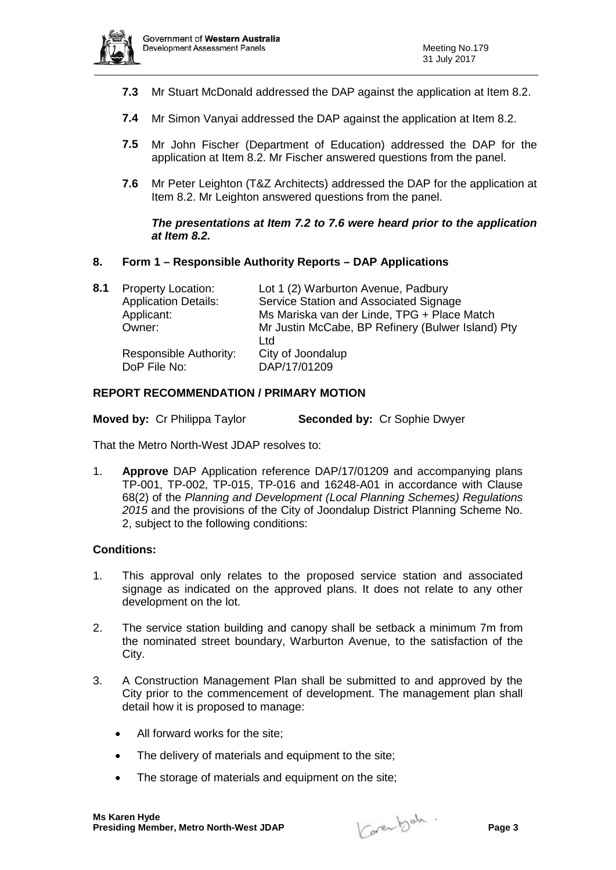

- **7.3** Mr Stuart McDonald addressed the DAP against the application at Item 8.2.
- **7.4** Mr Simon Vanyai addressed the DAP against the application at Item 8.2.
- **7.5** Mr John Fischer (Department of Education) addressed the DAP for the application at Item 8.2. Mr Fischer answered questions from the panel.
- **7.6** Mr Peter Leighton (T&Z Architects) addressed the DAP for the application at Item 8.2. Mr Leighton answered questions from the panel.

### *The presentations at Item 7.2 to 7.6 were heard prior to the application at Item 8.2.*

## **8. Form 1 – Responsible Authority Reports – DAP Applications**

| 8.1 | <b>Property Location:</b><br><b>Application Details:</b><br>Applicant:<br>Owner: | Lot 1 (2) Warburton Avenue, Padbury<br>Service Station and Associated Signage<br>Ms Mariska van der Linde, TPG + Place Match<br>Mr Justin McCabe, BP Refinery (Bulwer Island) Pty<br>Ltd |
|-----|----------------------------------------------------------------------------------|------------------------------------------------------------------------------------------------------------------------------------------------------------------------------------------|
|     | Responsible Authority:<br>DoP File No:                                           | City of Joondalup<br>DAP/17/01209                                                                                                                                                        |

## **REPORT RECOMMENDATION / PRIMARY MOTION**

**Moved by:** Cr Philippa Taylor **Seconded by:** Cr Sophie Dwyer

That the Metro North-West JDAP resolves to:

1. **Approve** DAP Application reference DAP/17/01209 and accompanying plans TP-001, TP-002, TP-015, TP-016 and 16248-A01 in accordance with Clause 68(2) of the *Planning and Development (Local Planning Schemes) Regulations 2015* and the provisions of the City of Joondalup District Planning Scheme No. 2, subject to the following conditions:

## **Conditions:**

- 1. This approval only relates to the proposed service station and associated signage as indicated on the approved plans. It does not relate to any other development on the lot.
- 2. The service station building and canopy shall be setback a minimum 7m from the nominated street boundary, Warburton Avenue, to the satisfaction of the City.
- 3. A Construction Management Plan shall be submitted to and approved by the City prior to the commencement of development. The management plan shall detail how it is proposed to manage:
	- All forward works for the site;
	- The delivery of materials and equipment to the site;
	- The storage of materials and equipment on the site;

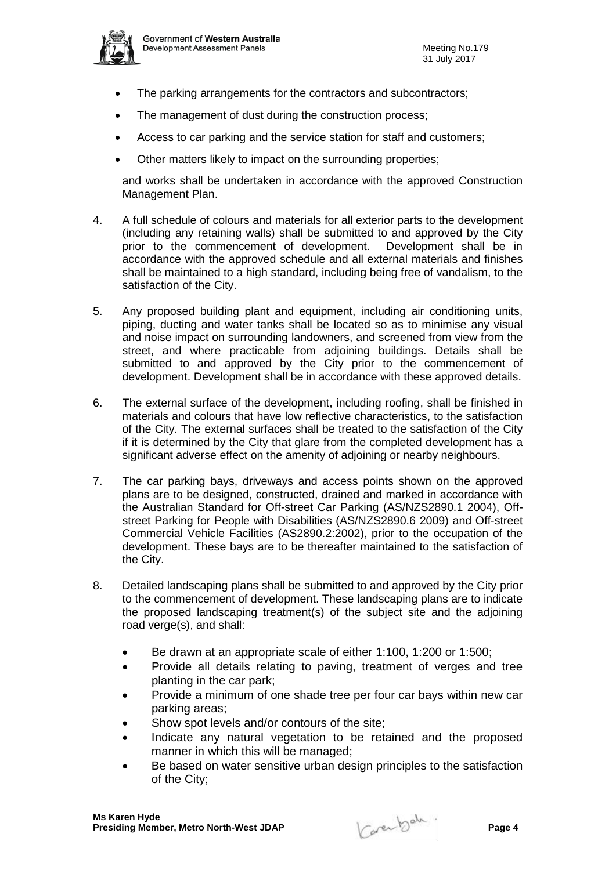

- The parking arrangements for the contractors and subcontractors;
- The management of dust during the construction process;
- Access to car parking and the service station for staff and customers;
- Other matters likely to impact on the surrounding properties;

and works shall be undertaken in accordance with the approved Construction Management Plan.

- 4. A full schedule of colours and materials for all exterior parts to the development (including any retaining walls) shall be submitted to and approved by the City prior to the commencement of development. Development shall be in accordance with the approved schedule and all external materials and finishes shall be maintained to a high standard, including being free of vandalism, to the satisfaction of the City.
- 5. Any proposed building plant and equipment, including air conditioning units, piping, ducting and water tanks shall be located so as to minimise any visual and noise impact on surrounding landowners, and screened from view from the street, and where practicable from adjoining buildings. Details shall be submitted to and approved by the City prior to the commencement of development. Development shall be in accordance with these approved details.
- 6. The external surface of the development, including roofing, shall be finished in materials and colours that have low reflective characteristics, to the satisfaction of the City. The external surfaces shall be treated to the satisfaction of the City if it is determined by the City that glare from the completed development has a significant adverse effect on the amenity of adjoining or nearby neighbours.
- 7. The car parking bays, driveways and access points shown on the approved plans are to be designed, constructed, drained and marked in accordance with the Australian Standard for Off-street Car Parking (AS/NZS2890.1 2004), Offstreet Parking for People with Disabilities (AS/NZS2890.6 2009) and Off-street Commercial Vehicle Facilities (AS2890.2:2002), prior to the occupation of the development. These bays are to be thereafter maintained to the satisfaction of the City.
- 8. Detailed landscaping plans shall be submitted to and approved by the City prior to the commencement of development. These landscaping plans are to indicate the proposed landscaping treatment(s) of the subject site and the adjoining road verge(s), and shall:
	- Be drawn at an appropriate scale of either 1:100, 1:200 or 1:500;
	- Provide all details relating to paving, treatment of verges and tree planting in the car park;
	- Provide a minimum of one shade tree per four car bays within new car parking areas;
	- Show spot levels and/or contours of the site;
	- Indicate any natural vegetation to be retained and the proposed manner in which this will be managed;
	- Be based on water sensitive urban design principles to the satisfaction of the City;

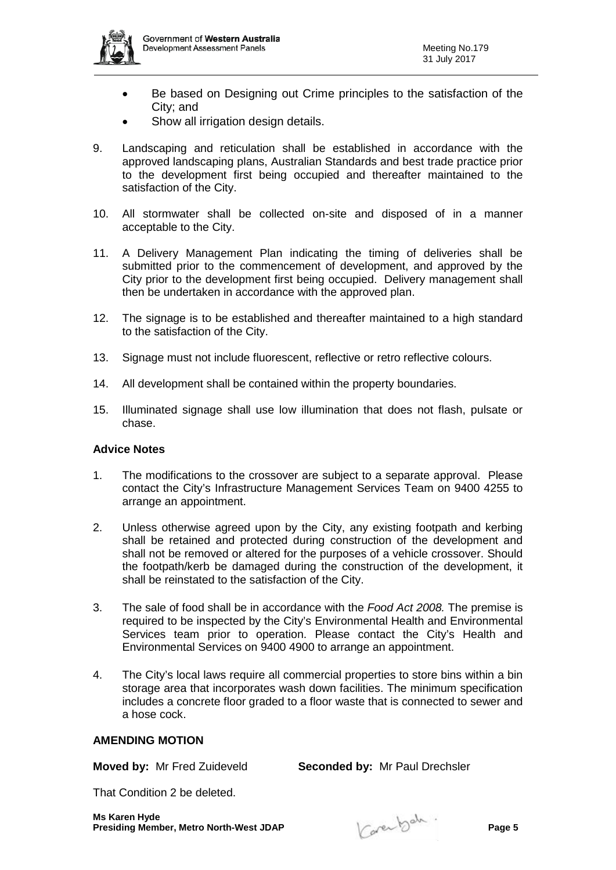- Be based on Designing out Crime principles to the satisfaction of the City; and
- Show all irrigation design details.
- 9. Landscaping and reticulation shall be established in accordance with the approved landscaping plans, Australian Standards and best trade practice prior to the development first being occupied and thereafter maintained to the satisfaction of the City.
- 10. All stormwater shall be collected on-site and disposed of in a manner acceptable to the City.
- 11. A Delivery Management Plan indicating the timing of deliveries shall be submitted prior to the commencement of development, and approved by the City prior to the development first being occupied. Delivery management shall then be undertaken in accordance with the approved plan.
- 12. The signage is to be established and thereafter maintained to a high standard to the satisfaction of the City.
- 13. Signage must not include fluorescent, reflective or retro reflective colours.
- 14. All development shall be contained within the property boundaries.
- 15. Illuminated signage shall use low illumination that does not flash, pulsate or chase.

#### **Advice Notes**

- 1. The modifications to the crossover are subject to a separate approval. Please contact the City's Infrastructure Management Services Team on 9400 4255 to arrange an appointment.
- 2. Unless otherwise agreed upon by the City, any existing footpath and kerbing shall be retained and protected during construction of the development and shall not be removed or altered for the purposes of a vehicle crossover. Should the footpath/kerb be damaged during the construction of the development, it shall be reinstated to the satisfaction of the City.
- 3. The sale of food shall be in accordance with the *Food Act 2008.* The premise is required to be inspected by the City's Environmental Health and Environmental Services team prior to operation. Please contact the City's Health and Environmental Services on 9400 4900 to arrange an appointment.
- 4. The City's local laws require all commercial properties to store bins within a bin storage area that incorporates wash down facilities. The minimum specification includes a concrete floor graded to a floor waste that is connected to sewer and a hose cock.

### **AMENDING MOTION**

**Moved by:** Mr Fred Zuideveld **Seconded by:** Mr Paul Drechsler

That Condition 2 be deleted.

**Ms Karen Hyde Presiding Member, Metro North-West JDAP Page 5**

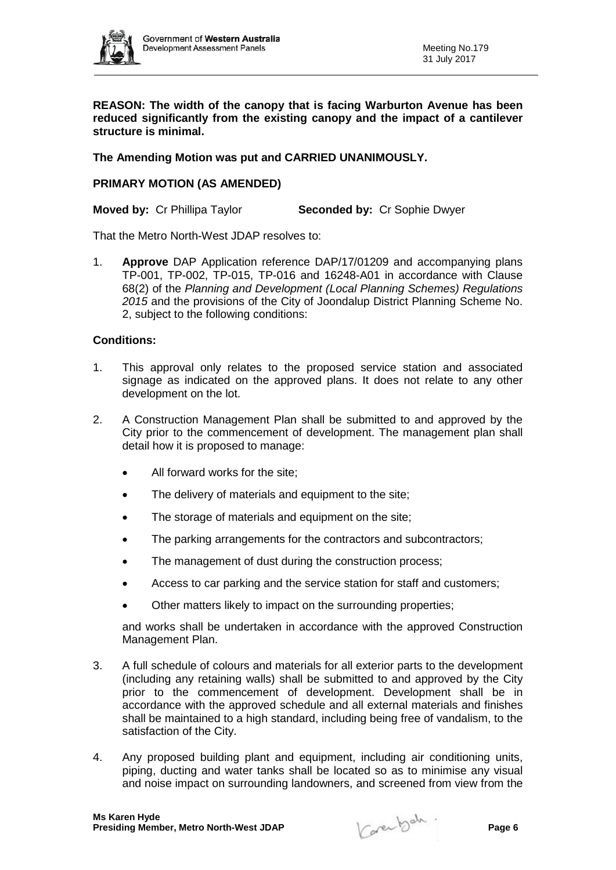

**REASON: The width of the canopy that is facing Warburton Avenue has been reduced significantly from the existing canopy and the impact of a cantilever structure is minimal.**

## **The Amending Motion was put and CARRIED UNANIMOUSLY.**

### **PRIMARY MOTION (AS AMENDED)**

**Moved by:** Cr Phillipa Taylor **Seconded by:** Cr Sophie Dwyer

That the Metro North-West JDAP resolves to:

1. **Approve** DAP Application reference DAP/17/01209 and accompanying plans TP-001, TP-002, TP-015, TP-016 and 16248-A01 in accordance with Clause 68(2) of the *Planning and Development (Local Planning Schemes) Regulations 2015* and the provisions of the City of Joondalup District Planning Scheme No. 2, subject to the following conditions:

### **Conditions:**

- 1. This approval only relates to the proposed service station and associated signage as indicated on the approved plans. It does not relate to any other development on the lot.
- 2. A Construction Management Plan shall be submitted to and approved by the City prior to the commencement of development. The management plan shall detail how it is proposed to manage:
	- All forward works for the site:
	- The delivery of materials and equipment to the site;
	- The storage of materials and equipment on the site;
	- The parking arrangements for the contractors and subcontractors;
	- The management of dust during the construction process;
	- Access to car parking and the service station for staff and customers;
	- Other matters likely to impact on the surrounding properties;

and works shall be undertaken in accordance with the approved Construction Management Plan.

- 3. A full schedule of colours and materials for all exterior parts to the development (including any retaining walls) shall be submitted to and approved by the City prior to the commencement of development. Development shall be in accordance with the approved schedule and all external materials and finishes shall be maintained to a high standard, including being free of vandalism, to the satisfaction of the City.
- 4. Any proposed building plant and equipment, including air conditioning units, piping, ducting and water tanks shall be located so as to minimise any visual and noise impact on surrounding landowners, and screened from view from the

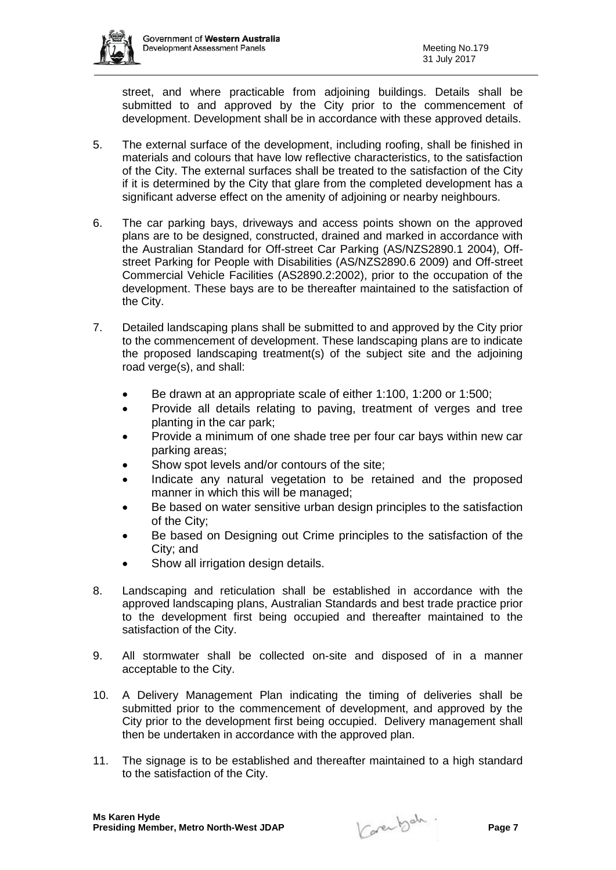

street, and where practicable from adjoining buildings. Details shall be submitted to and approved by the City prior to the commencement of development. Development shall be in accordance with these approved details.

- 5. The external surface of the development, including roofing, shall be finished in materials and colours that have low reflective characteristics, to the satisfaction of the City. The external surfaces shall be treated to the satisfaction of the City if it is determined by the City that glare from the completed development has a significant adverse effect on the amenity of adjoining or nearby neighbours.
- 6. The car parking bays, driveways and access points shown on the approved plans are to be designed, constructed, drained and marked in accordance with the Australian Standard for Off-street Car Parking (AS/NZS2890.1 2004), Offstreet Parking for People with Disabilities (AS/NZS2890.6 2009) and Off-street Commercial Vehicle Facilities (AS2890.2:2002), prior to the occupation of the development. These bays are to be thereafter maintained to the satisfaction of the City.
- 7. Detailed landscaping plans shall be submitted to and approved by the City prior to the commencement of development. These landscaping plans are to indicate the proposed landscaping treatment(s) of the subject site and the adjoining road verge(s), and shall:
	- Be drawn at an appropriate scale of either 1:100, 1:200 or 1:500;
	- Provide all details relating to paving, treatment of verges and tree planting in the car park;
	- Provide a minimum of one shade tree per four car bays within new car parking areas;
	- Show spot levels and/or contours of the site;
	- Indicate any natural vegetation to be retained and the proposed manner in which this will be managed;
	- Be based on water sensitive urban design principles to the satisfaction of the City;
	- Be based on Designing out Crime principles to the satisfaction of the City; and
	- Show all irrigation design details.
- 8. Landscaping and reticulation shall be established in accordance with the approved landscaping plans, Australian Standards and best trade practice prior to the development first being occupied and thereafter maintained to the satisfaction of the City.
- 9. All stormwater shall be collected on-site and disposed of in a manner acceptable to the City.
- 10. A Delivery Management Plan indicating the timing of deliveries shall be submitted prior to the commencement of development, and approved by the City prior to the development first being occupied. Delivery management shall then be undertaken in accordance with the approved plan.
- 11. The signage is to be established and thereafter maintained to a high standard to the satisfaction of the City.

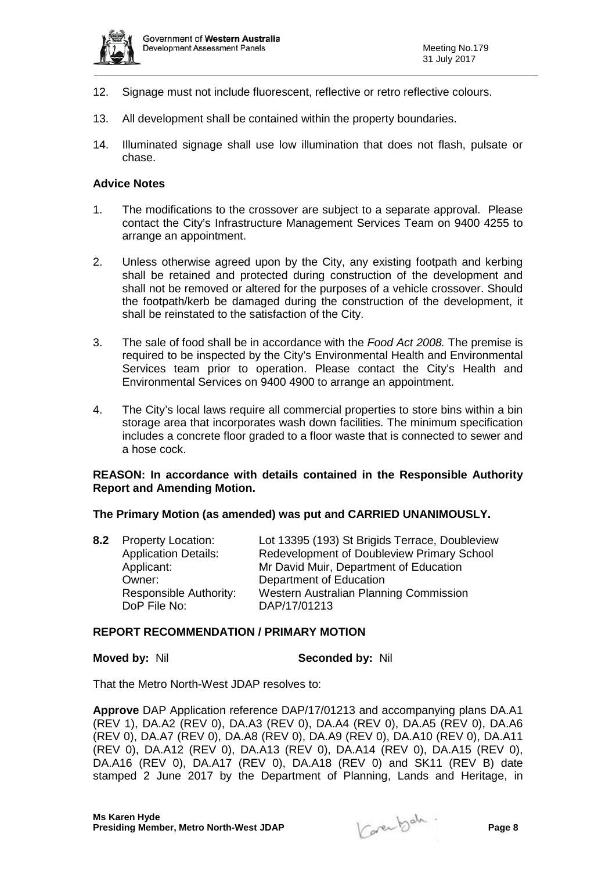

- 12. Signage must not include fluorescent, reflective or retro reflective colours.
- 13. All development shall be contained within the property boundaries.
- 14. Illuminated signage shall use low illumination that does not flash, pulsate or chase.

#### **Advice Notes**

- 1. The modifications to the crossover are subject to a separate approval. Please contact the City's Infrastructure Management Services Team on 9400 4255 to arrange an appointment.
- 2. Unless otherwise agreed upon by the City, any existing footpath and kerbing shall be retained and protected during construction of the development and shall not be removed or altered for the purposes of a vehicle crossover. Should the footpath/kerb be damaged during the construction of the development, it shall be reinstated to the satisfaction of the City.
- 3. The sale of food shall be in accordance with the *Food Act 2008.* The premise is required to be inspected by the City's Environmental Health and Environmental Services team prior to operation. Please contact the City's Health and Environmental Services on 9400 4900 to arrange an appointment.
- 4. The City's local laws require all commercial properties to store bins within a bin storage area that incorporates wash down facilities. The minimum specification includes a concrete floor graded to a floor waste that is connected to sewer and a hose cock.

### **REASON: In accordance with details contained in the Responsible Authority Report and Amending Motion.**

#### **The Primary Motion (as amended) was put and CARRIED UNANIMOUSLY.**

| 8.2 Property Location:      | Lot 13395 (193) St Brigids Terrace, Doubleview |
|-----------------------------|------------------------------------------------|
| <b>Application Details:</b> | Redevelopment of Doubleview Primary School     |
| Applicant:                  | Mr David Muir, Department of Education         |
| Owner:                      | Department of Education                        |
| Responsible Authority:      | Western Australian Planning Commission         |
| DoP File No:                | DAP/17/01213                                   |
|                             |                                                |

#### **REPORT RECOMMENDATION / PRIMARY MOTION**

#### **Moved by:** Nil **Seconded by:** Nil

That the Metro North-West JDAP resolves to:

**Approve** DAP Application reference DAP/17/01213 and accompanying plans DA.A1 (REV 1), DA.A2 (REV 0), DA.A3 (REV 0), DA.A4 (REV 0), DA.A5 (REV 0), DA.A6 (REV 0), DA.A7 (REV 0), DA.A8 (REV 0), DA.A9 (REV 0), DA.A10 (REV 0), DA.A11 (REV 0), DA.A12 (REV 0), DA.A13 (REV 0), DA.A14 (REV 0), DA.A15 (REV 0), DA.A16 (REV 0), DA.A17 (REV 0), DA.A18 (REV 0) and SK11 (REV B) date stamped 2 June 2017 by the Department of Planning, Lands and Heritage, in

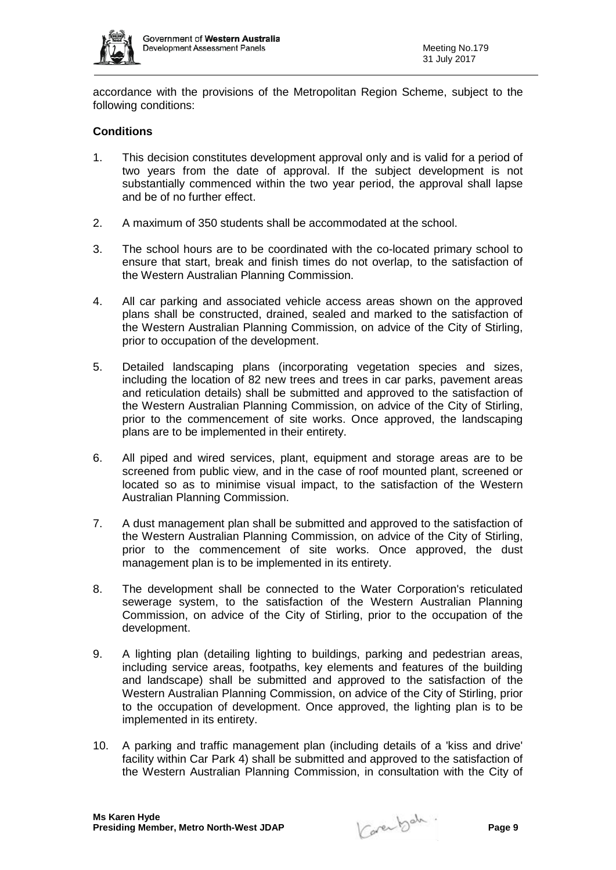

accordance with the provisions of the Metropolitan Region Scheme, subject to the following conditions:

## **Conditions**

- 1. This decision constitutes development approval only and is valid for a period of two years from the date of approval. If the subject development is not substantially commenced within the two year period, the approval shall lapse and be of no further effect.
- 2. A maximum of 350 students shall be accommodated at the school.
- 3. The school hours are to be coordinated with the co-located primary school to ensure that start, break and finish times do not overlap, to the satisfaction of the Western Australian Planning Commission.
- 4. All car parking and associated vehicle access areas shown on the approved plans shall be constructed, drained, sealed and marked to the satisfaction of the Western Australian Planning Commission, on advice of the City of Stirling, prior to occupation of the development.
- 5. Detailed landscaping plans (incorporating vegetation species and sizes, including the location of 82 new trees and trees in car parks, pavement areas and reticulation details) shall be submitted and approved to the satisfaction of the Western Australian Planning Commission, on advice of the City of Stirling, prior to the commencement of site works. Once approved, the landscaping plans are to be implemented in their entirety.
- 6. All piped and wired services, plant, equipment and storage areas are to be screened from public view, and in the case of roof mounted plant, screened or located so as to minimise visual impact, to the satisfaction of the Western Australian Planning Commission.
- 7. A dust management plan shall be submitted and approved to the satisfaction of the Western Australian Planning Commission, on advice of the City of Stirling, prior to the commencement of site works. Once approved, the dust management plan is to be implemented in its entirety.
- 8. The development shall be connected to the Water Corporation's reticulated sewerage system, to the satisfaction of the Western Australian Planning Commission, on advice of the City of Stirling, prior to the occupation of the development.
- 9. A lighting plan (detailing lighting to buildings, parking and pedestrian areas, including service areas, footpaths, key elements and features of the building and landscape) shall be submitted and approved to the satisfaction of the Western Australian Planning Commission, on advice of the City of Stirling, prior to the occupation of development. Once approved, the lighting plan is to be implemented in its entirety.
- 10. A parking and traffic management plan (including details of a 'kiss and drive' facility within Car Park 4) shall be submitted and approved to the satisfaction of the Western Australian Planning Commission, in consultation with the City of

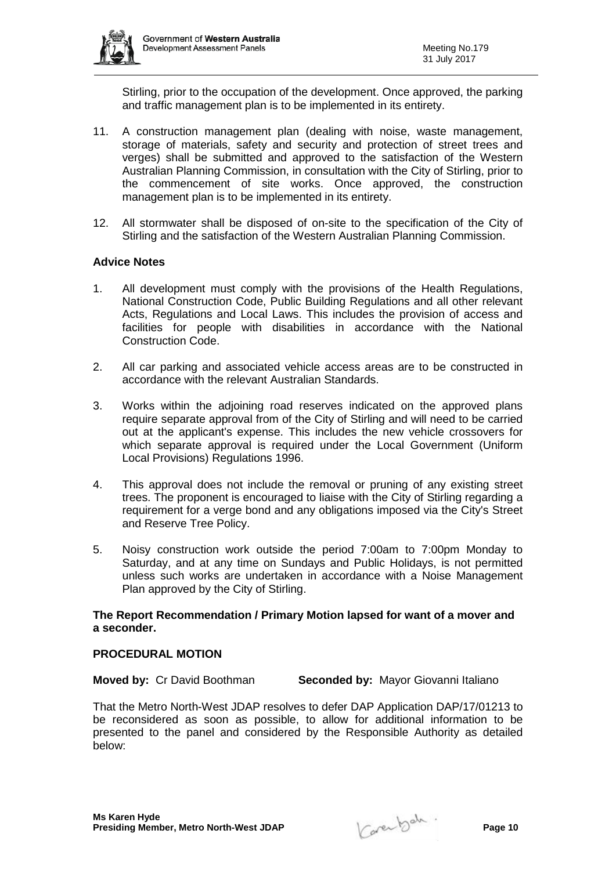

Stirling, prior to the occupation of the development. Once approved, the parking and traffic management plan is to be implemented in its entirety.

- 11. A construction management plan (dealing with noise, waste management, storage of materials, safety and security and protection of street trees and verges) shall be submitted and approved to the satisfaction of the Western Australian Planning Commission, in consultation with the City of Stirling, prior to the commencement of site works. Once approved, the construction management plan is to be implemented in its entirety.
- 12. All stormwater shall be disposed of on-site to the specification of the City of Stirling and the satisfaction of the Western Australian Planning Commission.

### **Advice Notes**

- 1. All development must comply with the provisions of the Health Regulations, National Construction Code, Public Building Regulations and all other relevant Acts, Regulations and Local Laws. This includes the provision of access and facilities for people with disabilities in accordance with the National Construction Code.
- 2. All car parking and associated vehicle access areas are to be constructed in accordance with the relevant Australian Standards.
- 3. Works within the adjoining road reserves indicated on the approved plans require separate approval from of the City of Stirling and will need to be carried out at the applicant's expense. This includes the new vehicle crossovers for which separate approval is required under the Local Government (Uniform Local Provisions) Regulations 1996.
- 4. This approval does not include the removal or pruning of any existing street trees. The proponent is encouraged to liaise with the City of Stirling regarding a requirement for a verge bond and any obligations imposed via the City's Street and Reserve Tree Policy.
- 5. Noisy construction work outside the period 7:00am to 7:00pm Monday to Saturday, and at any time on Sundays and Public Holidays, is not permitted unless such works are undertaken in accordance with a Noise Management Plan approved by the City of Stirling.

### **The Report Recommendation / Primary Motion lapsed for want of a mover and a seconder.**

#### **PROCEDURAL MOTION**

**Moved by:** Cr David Boothman **Seconded by:** Mayor Giovanni Italiano

That the Metro North-West JDAP resolves to defer DAP Application DAP/17/01213 to be reconsidered as soon as possible, to allow for additional information to be presented to the panel and considered by the Responsible Authority as detailed below: